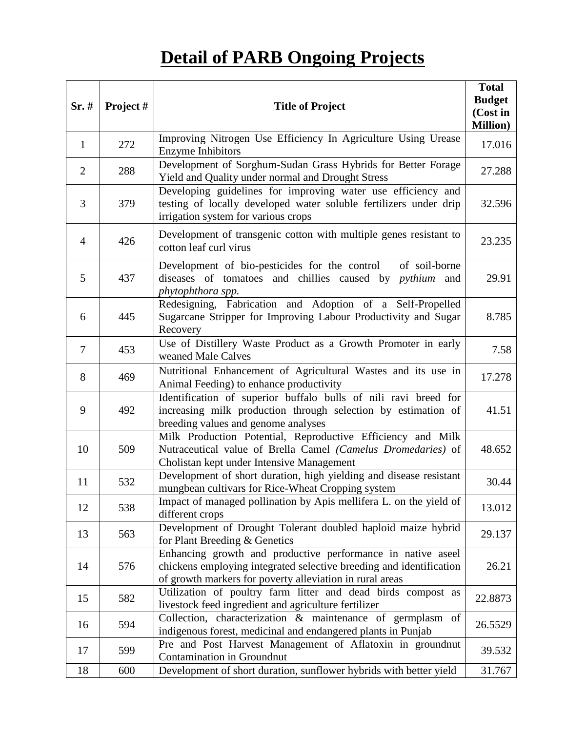## **Detail of PARB Ongoing Projects**

| Sr.#           | Project # | <b>Title of Project</b>                                                                                                                                                                        | <b>Total</b><br><b>Budget</b><br>(Cost in<br><b>Million</b> ) |
|----------------|-----------|------------------------------------------------------------------------------------------------------------------------------------------------------------------------------------------------|---------------------------------------------------------------|
| $\mathbf{1}$   | 272       | Improving Nitrogen Use Efficiency In Agriculture Using Urease<br>Enzyme Inhibitors                                                                                                             | 17.016                                                        |
| $\overline{2}$ | 288       | Development of Sorghum-Sudan Grass Hybrids for Better Forage<br>Yield and Quality under normal and Drought Stress                                                                              | 27.288                                                        |
| 3              | 379       | Developing guidelines for improving water use efficiency and<br>testing of locally developed water soluble fertilizers under drip<br>irrigation system for various crops                       | 32.596                                                        |
| $\overline{4}$ | 426       | Development of transgenic cotton with multiple genes resistant to<br>cotton leaf curl virus                                                                                                    | 23.235                                                        |
| 5              | 437       | Development of bio-pesticides for the control of soil-borne<br>diseases of tomatoes and chillies caused by pythium and<br>phytophthora spp.                                                    | 29.91                                                         |
| 6              | 445       | Redesigning, Fabrication and Adoption of a Self-Propelled<br>Sugarcane Stripper for Improving Labour Productivity and Sugar<br>Recovery                                                        | 8.785                                                         |
| $\overline{7}$ | 453       | Use of Distillery Waste Product as a Growth Promoter in early<br>weaned Male Calves                                                                                                            | 7.58                                                          |
| 8              | 469       | Nutritional Enhancement of Agricultural Wastes and its use in<br>Animal Feeding) to enhance productivity                                                                                       | 17.278                                                        |
| 9              | 492       | Identification of superior buffalo bulls of nili ravi breed for<br>increasing milk production through selection by estimation of<br>breeding values and genome analyses                        | 41.51                                                         |
| 10             | 509       | Milk Production Potential, Reproductive Efficiency and Milk<br>Nutraceutical value of Brella Camel (Camelus Dromedaries) of<br>Cholistan kept under Intensive Management                       | 48.652                                                        |
| 11             | 532       | Development of short duration, high yielding and disease resistant<br>mungbean cultivars for Rice-Wheat Cropping system                                                                        | 30.44                                                         |
| 12             | 538       | Impact of managed pollination by Apis mellifera L. on the yield of<br>different crops                                                                                                          | 13.012                                                        |
| 13             | 563       | Development of Drought Tolerant doubled haploid maize hybrid<br>for Plant Breeding & Genetics                                                                                                  | 29.137                                                        |
| 14             | 576       | Enhancing growth and productive performance in native aseel<br>chickens employing integrated selective breeding and identification<br>of growth markers for poverty alleviation in rural areas | 26.21                                                         |
| 15             | 582       | Utilization of poultry farm litter and dead birds compost as<br>livestock feed ingredient and agriculture fertilizer                                                                           | 22.8873                                                       |
| 16             | 594       | Collection, characterization & maintenance of germplasm of<br>indigenous forest, medicinal and endangered plants in Punjab                                                                     | 26.5529                                                       |
| 17             | 599       | Pre and Post Harvest Management of Aflatoxin in groundnut<br>Contamination in Groundnut                                                                                                        | 39.532                                                        |
| 18             | 600       | Development of short duration, sunflower hybrids with better yield                                                                                                                             | 31.767                                                        |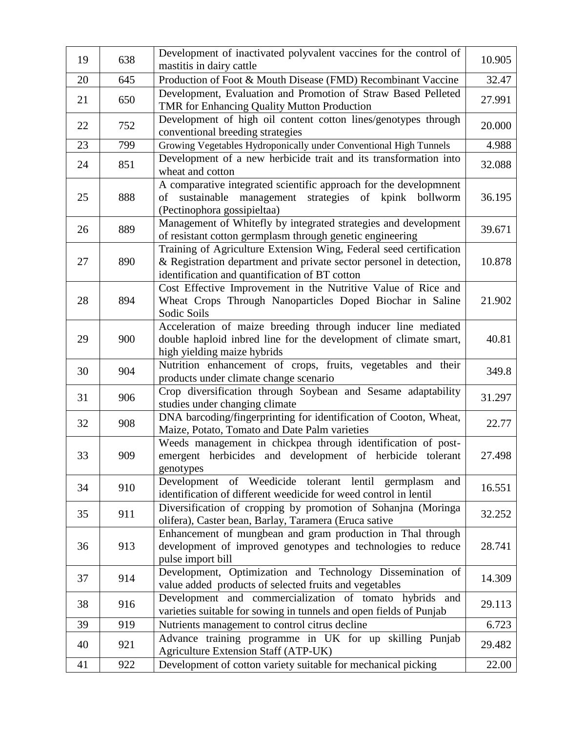| 19 | 638 | Development of inactivated polyvalent vaccines for the control of<br>mastitis in dairy cattle                                                                                               | 10.905 |
|----|-----|---------------------------------------------------------------------------------------------------------------------------------------------------------------------------------------------|--------|
| 20 | 645 | Production of Foot & Mouth Disease (FMD) Recombinant Vaccine                                                                                                                                | 32.47  |
| 21 | 650 | Development, Evaluation and Promotion of Straw Based Pelleted<br>TMR for Enhancing Quality Mutton Production                                                                                | 27.991 |
| 22 | 752 | Development of high oil content cotton lines/genotypes through<br>conventional breeding strategies                                                                                          | 20.000 |
| 23 | 799 | Growing Vegetables Hydroponically under Conventional High Tunnels                                                                                                                           | 4.988  |
| 24 | 851 | Development of a new herbicide trait and its transformation into<br>wheat and cotton                                                                                                        | 32.088 |
| 25 | 888 | A comparative integrated scientific approach for the developmnent<br>management<br>strategies of kpink bollworm<br>of<br>sustainable<br>(Pectinophora gossipieltaa)                         | 36.195 |
| 26 | 889 | Management of Whitefly by integrated strategies and development<br>of resistant cotton germplasm through genetic engineering                                                                | 39.671 |
| 27 | 890 | Training of Agriculture Extension Wing, Federal seed certification<br>& Registration department and private sector personel in detection,<br>identification and quantification of BT cotton | 10.878 |
| 28 | 894 | Cost Effective Improvement in the Nutritive Value of Rice and<br>Wheat Crops Through Nanoparticles Doped Biochar in Saline<br>Sodic Soils                                                   | 21.902 |
| 29 | 900 | Acceleration of maize breeding through inducer line mediated<br>double haploid inbred line for the development of climate smart,<br>high yielding maize hybrids                             | 40.81  |
| 30 | 904 | Nutrition enhancement of crops, fruits, vegetables and their<br>products under climate change scenario                                                                                      | 349.8  |
| 31 | 906 | Crop diversification through Soybean and Sesame adaptability<br>studies under changing climate                                                                                              | 31.297 |
| 32 | 908 | DNA barcoding/fingerprinting for identification of Cooton, Wheat,<br>Maize, Potato, Tomato and Date Palm varieties                                                                          | 22.77  |
| 33 | 909 | Weeds management in chickpea through identification of post-<br>emergent herbicides and development of herbicide tolerant<br>genotypes                                                      | 27.498 |
| 34 | 910 | Development of Weedicide tolerant lentil germplasm<br>and<br>identification of different weedicide for weed control in lentil                                                               | 16.551 |
| 35 | 911 | Diversification of cropping by promotion of Sohanjna (Moringa<br>olifera), Caster bean, Barlay, Taramera (Eruca sative                                                                      | 32.252 |
| 36 | 913 | Enhancement of mungbean and gram production in Thal through<br>development of improved genotypes and technologies to reduce<br>pulse import bill                                            | 28.741 |
| 37 | 914 | Development, Optimization and Technology Dissemination of<br>value added products of selected fruits and vegetables                                                                         | 14.309 |
| 38 | 916 | Development and commercialization of tomato hybrids and<br>varieties suitable for sowing in tunnels and open fields of Punjab                                                               | 29.113 |
| 39 | 919 | Nutrients management to control citrus decline                                                                                                                                              | 6.723  |
| 40 | 921 | Advance training programme in UK for up skilling Punjab<br>Agriculture Extension Staff (ATP-UK)                                                                                             | 29.482 |
| 41 | 922 | Development of cotton variety suitable for mechanical picking                                                                                                                               | 22.00  |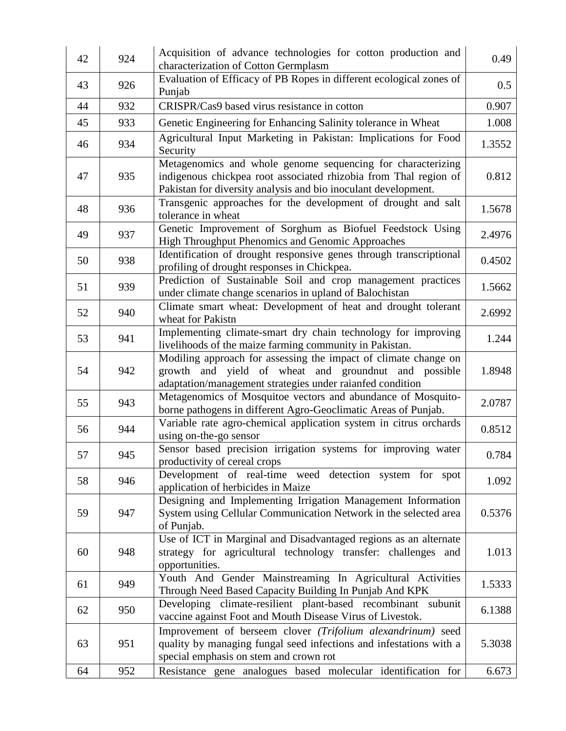| 42 | 924 | Acquisition of advance technologies for cotton production and<br>characterization of Cotton Germplasm                                                                                             | 0.49   |
|----|-----|---------------------------------------------------------------------------------------------------------------------------------------------------------------------------------------------------|--------|
| 43 | 926 | Evaluation of Efficacy of PB Ropes in different ecological zones of<br>Punjab                                                                                                                     | 0.5    |
| 44 | 932 | CRISPR/Cas9 based virus resistance in cotton                                                                                                                                                      | 0.907  |
| 45 | 933 | Genetic Engineering for Enhancing Salinity tolerance in Wheat                                                                                                                                     | 1.008  |
| 46 | 934 | Agricultural Input Marketing in Pakistan: Implications for Food<br>Security                                                                                                                       | 1.3552 |
| 47 | 935 | Metagenomics and whole genome sequencing for characterizing<br>indigenous chickpea root associated rhizobia from Thal region of<br>Pakistan for diversity analysis and bio inoculant development. | 0.812  |
| 48 | 936 | Transgenic approaches for the development of drought and salt<br>tolerance in wheat                                                                                                               | 1.5678 |
| 49 | 937 | Genetic Improvement of Sorghum as Biofuel Feedstock Using<br>High Throughput Phenomics and Genomic Approaches                                                                                     | 2.4976 |
| 50 | 938 | Identification of drought responsive genes through transcriptional<br>profiling of drought responses in Chickpea.                                                                                 | 0.4502 |
| 51 | 939 | Prediction of Sustainable Soil and crop management practices<br>under climate change scenarios in upland of Balochistan                                                                           | 1.5662 |
| 52 | 940 | Climate smart wheat: Development of heat and drought tolerant<br>wheat for Pakistn                                                                                                                | 2.6992 |
| 53 | 941 | Implementing climate-smart dry chain technology for improving<br>livelihoods of the maize farming community in Pakistan.                                                                          | 1.244  |
| 54 | 942 | Modiling approach for assessing the impact of climate change on<br>growth and yield of wheat and groundnut and possible<br>adaptation/management strategies under raianfed condition              | 1.8948 |
| 55 | 943 | Metagenomics of Mosquitoe vectors and abundance of Mosquito-<br>borne pathogens in different Agro-Geoclimatic Areas of Punjab.                                                                    | 2.0787 |
| 56 | 944 | Variable rate agro-chemical application system in citrus orchards<br>using on-the-go sensor                                                                                                       | 0.8512 |
| 57 | 945 | Sensor based precision irrigation systems for improving water<br>productivity of cereal crops                                                                                                     | 0.784  |
| 58 | 946 | Development of real-time weed detection system for spot<br>application of herbicides in Maize                                                                                                     | 1.092  |
| 59 | 947 | Designing and Implementing Irrigation Management Information<br>System using Cellular Communication Network in the selected area<br>of Punjab.                                                    | 0.5376 |
| 60 | 948 | Use of ICT in Marginal and Disadvantaged regions as an alternate<br>strategy for agricultural technology transfer: challenges and<br>opportunities.                                               | 1.013  |
| 61 | 949 | Youth And Gender Mainstreaming In Agricultural Activities<br>Through Need Based Capacity Building In Punjab And KPK                                                                               | 1.5333 |
| 62 | 950 | Developing climate-resilient plant-based recombinant subunit<br>vaccine against Foot and Mouth Disease Virus of Livestok.                                                                         | 6.1388 |
| 63 | 951 | Improvement of berseem clover (Trifolium alexandrinum) seed<br>quality by managing fungal seed infections and infestations with a<br>special emphasis on stem and crown rot                       | 5.3038 |
| 64 | 952 | Resistance gene analogues based molecular identification for                                                                                                                                      | 6.673  |